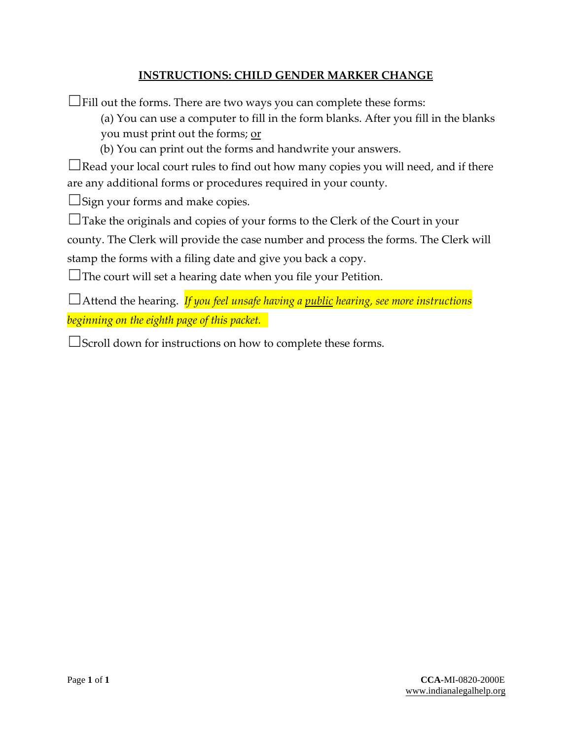# **INSTRUCTIONS: CHILD GENDER MARKER CHANGE**

 $\Box$ Fill out the forms. There are two ways you can complete these forms:

(a) You can use a computer to fill in the form blanks. After you fill in the blanks you must print out the forms; or

(b) You can print out the forms and handwrite your answers.

 $\Box$ Read your local court rules to find out how many copies you will need, and if there are any additional forms or procedures required in your county.

 $\Box$ Sign your forms and make copies.

☐Take the originals and copies of your forms to the Clerk of the Court in your

county. The Clerk will provide the case number and process the forms. The Clerk will

stamp the forms with a filing date and give you back a copy.

 $\Box$ The court will set a hearing date when you file your Petition.

☐Attend the hearing. *If you feel unsafe having a public hearing, see more instructions beginning on the eighth page of this packet.*

☐Scroll down for instructions on how to complete these forms.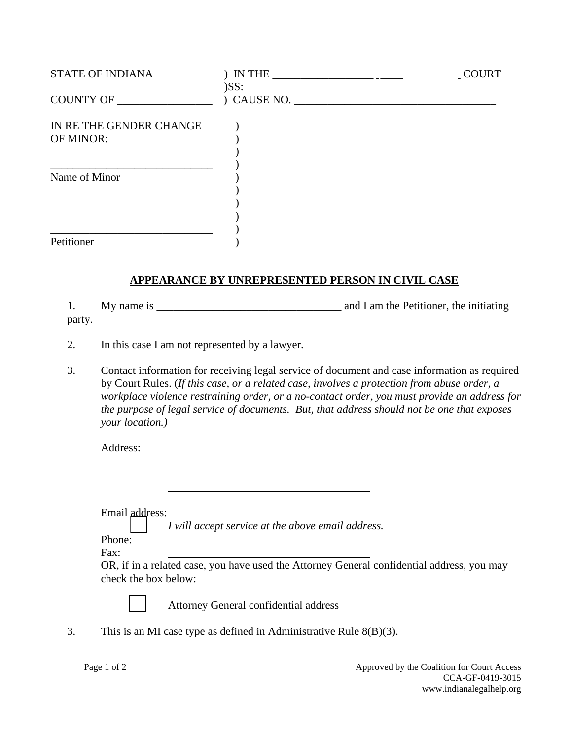| <b>STATE OF INDIANA</b>              | ) IN THE $\_$<br>)SS: | COURT |
|--------------------------------------|-----------------------|-------|
| COUNTY OF                            | $)$ CAUSE NO.         |       |
| IN RE THE GENDER CHANGE<br>OF MINOR: |                       |       |
| Name of Minor                        |                       |       |
| Petitioner                           |                       |       |

#### **APPEARANCE BY UNREPRESENTED PERSON IN CIVIL CASE**

1. My name is \_\_\_\_\_\_\_\_\_\_\_\_\_\_\_\_\_\_\_\_\_\_\_\_\_\_\_\_\_\_\_\_\_ and I am the Petitioner, the initiating party.

- 2. In this case I am not represented by a lawyer.
- 3. Contact information for receiving legal service of document and case information as required by Court Rules. (*If this case, or a related case, involves a protection from abuse order, a workplace violence restraining order, or a no-contact order, you must provide an address for the purpose of legal service of documents. But, that address should not be one that exposes your location.)*

Address:

Email address:

☐ *I will accept service at the above email address.*

 Phone: Fax:

OR, if in a related case, you have used the Attorney General confidential address, you may check the box below:



☐ Attorney General confidential address

3. This is an MI case type as defined in Administrative Rule 8(B)(3).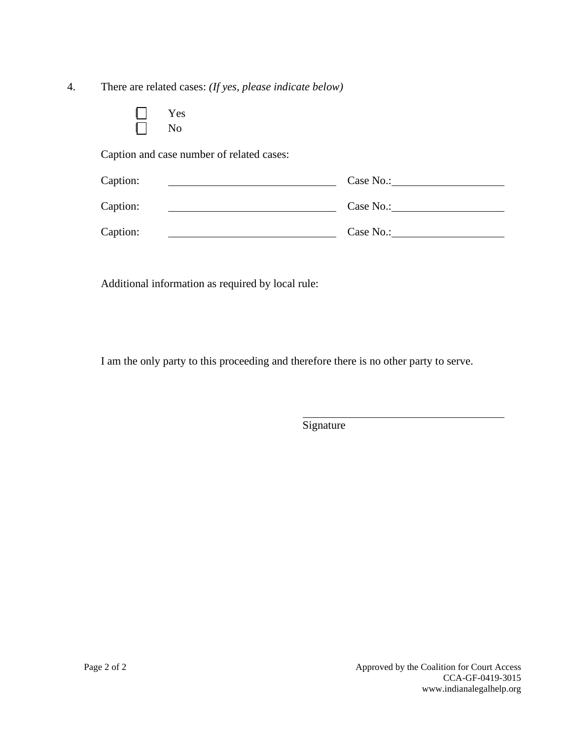4. There are related cases: *(If yes, please indicate below)*

|  | Yes            |
|--|----------------|
|  | N <sub>o</sub> |

Caption and case number of related cases:

| Caption: | Case No.: |
|----------|-----------|
| Caption: | Case No.: |
| Caption: | Case No.: |

Additional information as required by local rule:

I am the only party to this proceeding and therefore there is no other party to serve.

**Signature**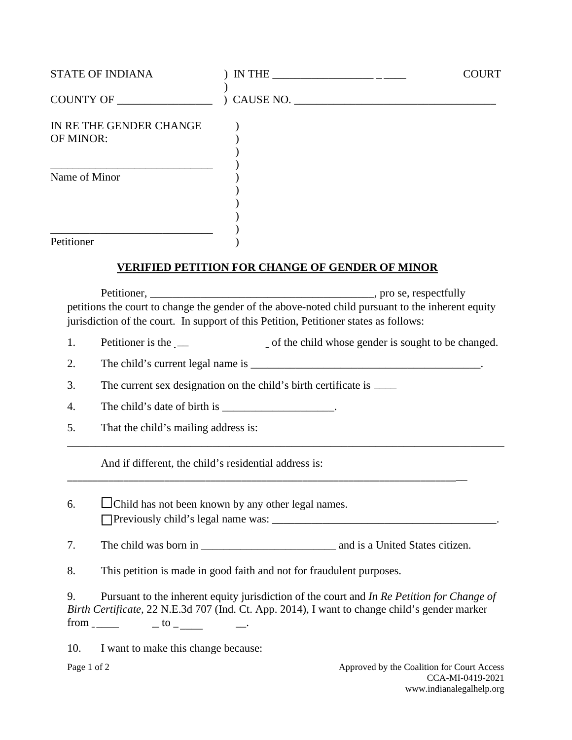| <b>STATE OF INDIANA</b>              | IN THE $\_\_$ | <b>COURT</b> |
|--------------------------------------|---------------|--------------|
| COUNTY OF                            | ) CAUSE NO.   |              |
| IN RE THE GENDER CHANGE<br>OF MINOR: |               |              |
| Name of Minor                        |               |              |
| Petitioner                           |               |              |

## **VERIFIED PETITION FOR CHANGE OF GENDER OF MINOR**

 Petitioner, \_\_\_\_\_\_\_\_\_\_\_\_\_\_\_\_\_\_\_\_\_\_\_\_\_\_\_\_\_\_\_\_\_\_\_\_\_\_\_\_, pro se, respectfully petitions the court to change the gender of the above-noted child pursuant to the inherent equity jurisdiction of the court. In support of this Petition, Petitioner states as follows:

1. Petitioner is the  $\Box$  of the child whose gender is sought to be changed. Petitioner is the \_\_

\_\_\_\_\_\_\_\_\_\_\_\_\_\_\_\_\_\_\_\_\_\_\_\_\_\_\_\_\_\_\_\_\_\_\_\_\_\_\_\_\_\_\_\_\_\_\_\_\_\_\_\_\_\_\_\_\_\_\_\_\_\_\_\_\_\_\_\_\_\_\_\_\_\_\_\_\_\_

- 2. The child's current legal name is \_\_\_\_\_\_\_\_\_\_\_\_\_\_\_\_\_\_\_\_\_\_\_\_\_\_\_\_\_\_\_\_\_\_\_\_\_\_\_\_\_.
- 3. The current sex designation on the child's birth certificate is  $\frac{1}{\sqrt{2}}$
- 4. The child's date of birth is  $\blacksquare$
- 5. That the child's mailing address is:

And if different, the child's residential address is:

- 6.  $\Box$  Child has not been known by any other legal names. ☐ Previously child's legal name was: \_\_\_\_\_\_\_\_\_\_\_\_\_\_\_\_\_\_\_\_\_\_\_\_\_\_\_\_\_\_\_\_\_\_\_\_\_\_\_\_.
- 7. The child was born in \_\_\_\_\_\_\_\_\_\_\_\_\_\_\_\_\_\_\_\_\_\_\_\_ and is a United States citizen.

\_\_\_\_\_\_\_\_\_\_\_\_\_\_\_\_\_\_\_\_\_\_\_\_\_\_\_\_\_\_\_\_\_\_\_\_\_\_\_\_\_\_\_\_\_\_\_\_\_\_\_\_\_\_\_\_\_\_\_\_\_\_\_\_\_\_\_\_\_\_\_\_\_\_\_\_\_\_

8. This petition is made in good faith and not for fraudulent purposes.

9. Pursuant to the inherent equity jurisdiction of the court and *In Re Petition for Change of Birth Certificate,* 22 N.E.3d 707 (Ind. Ct. App. 2014), I want to change child's gender marker  $from \_\_\_\_\_\_$   $\_to \_\_\_\_\_$ 

10. I want to make this change because: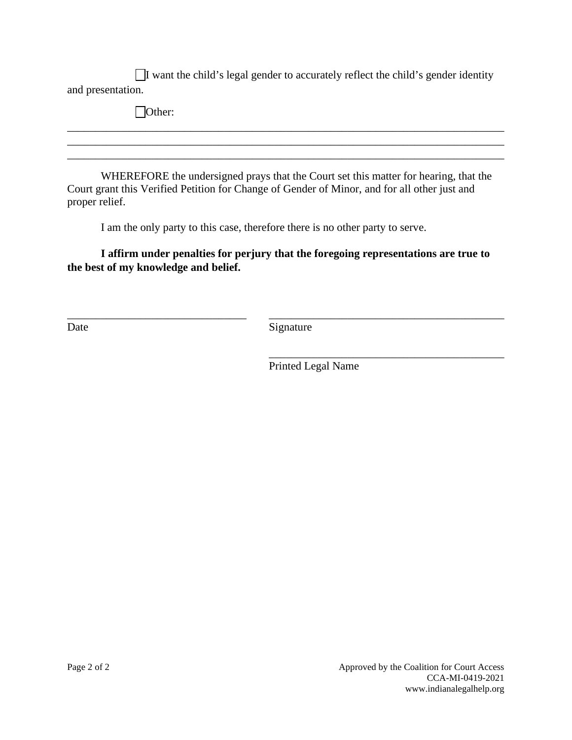☐I want the child's legal gender to accurately reflect the child's gender identity and presentation.

| $\mid$ Other:                                                                        |
|--------------------------------------------------------------------------------------|
|                                                                                      |
|                                                                                      |
| WHEREFORE the undersigned prays that the Court set this matter for hearing, that the |

Court grant this Verified Petition for Change of Gender of Minor, and for all other just and proper relief.

I am the only party to this case, therefore there is no other party to serve.

# **I affirm under penalties for perjury that the foregoing representations are true to the best of my knowledge and belief.**

\_\_\_\_\_\_\_\_\_\_\_\_\_\_\_\_\_\_\_\_\_\_\_\_\_\_\_\_\_\_\_\_ \_\_\_\_\_\_\_\_\_\_\_\_\_\_\_\_\_\_\_\_\_\_\_\_\_\_\_\_\_\_\_\_\_\_\_\_\_\_\_\_\_\_ Date Signature

 $\overline{\phantom{a}}$  , which is a set of the set of the set of the set of the set of the set of the set of the set of the set of the set of the set of the set of the set of the set of the set of the set of the set of the set of th

Printed Legal Name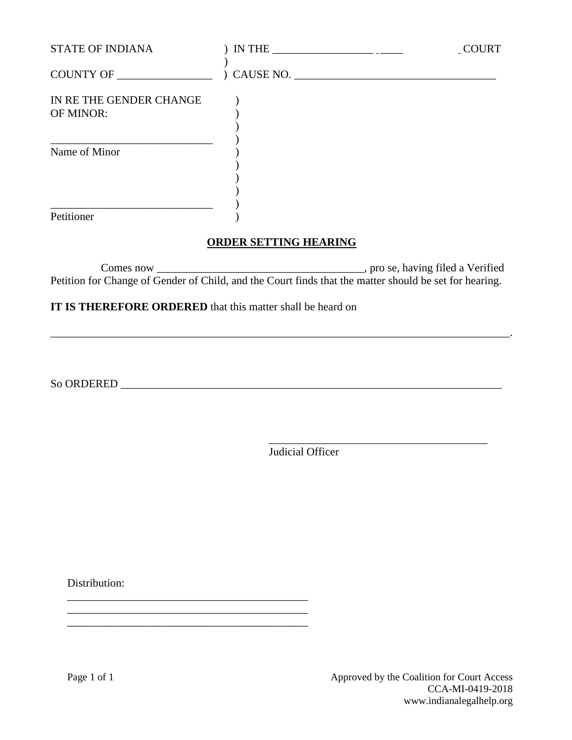| <b>STATE OF INDIANA</b>              | $IN THE _______$ | _COURT |
|--------------------------------------|------------------|--------|
| COUNTY OF _________________          | ) CAUSE NO.      |        |
| IN RE THE GENDER CHANGE<br>OF MINOR: |                  |        |
| Name of Minor                        |                  |        |
| Petitioner                           |                  |        |

## **ORDER SETTING HEARING**

Comes now \_\_\_\_\_\_\_\_\_\_\_\_\_\_\_\_\_\_\_\_\_\_\_\_\_\_\_\_\_\_\_\_\_\_\_\_\_, pro se, having filed a Verified Petition for Change of Gender of Child, and the Court finds that the matter should be set for hearing.

\_\_\_\_\_\_\_\_\_\_\_\_\_\_\_\_\_\_\_\_\_\_\_\_\_\_\_\_\_\_\_\_\_\_\_\_\_\_\_\_\_\_\_\_\_\_\_\_\_\_\_\_\_\_\_\_\_\_\_\_\_\_\_\_\_\_\_\_\_\_\_\_\_\_\_\_\_\_\_\_\_\_.

## **IT IS THEREFORE ORDERED** that this matter shall be heard on

\_\_\_\_\_\_\_\_\_\_\_\_\_\_\_\_\_\_\_\_\_\_\_\_\_\_\_\_\_\_\_\_\_\_\_\_\_\_\_\_\_\_\_ \_\_\_\_\_\_\_\_\_\_\_\_\_\_\_\_\_\_\_\_\_\_\_\_\_\_\_\_\_\_\_\_\_\_\_\_\_\_\_\_\_\_\_ \_\_\_\_\_\_\_\_\_\_\_\_\_\_\_\_\_\_\_\_\_\_\_\_\_\_\_\_\_\_\_\_\_\_\_\_\_\_\_\_\_\_\_

So ORDERED \_\_\_\_\_\_\_\_\_\_\_\_\_\_\_\_\_\_\_\_\_\_\_\_\_\_\_\_\_\_\_\_\_\_\_\_\_\_\_\_\_\_\_\_\_\_\_\_\_\_\_\_\_\_\_\_\_\_\_\_\_\_\_\_\_\_\_\_

 $\overline{\phantom{a}}$  , which is a set of the set of the set of the set of the set of the set of the set of the set of the set of the set of the set of the set of the set of the set of the set of the set of the set of the set of th Judicial Officer

Distribution:

Page 1 of 1 Approved by the Coalition for Court Access CCA-MI-0419-2018 www.indianalegalhelp.org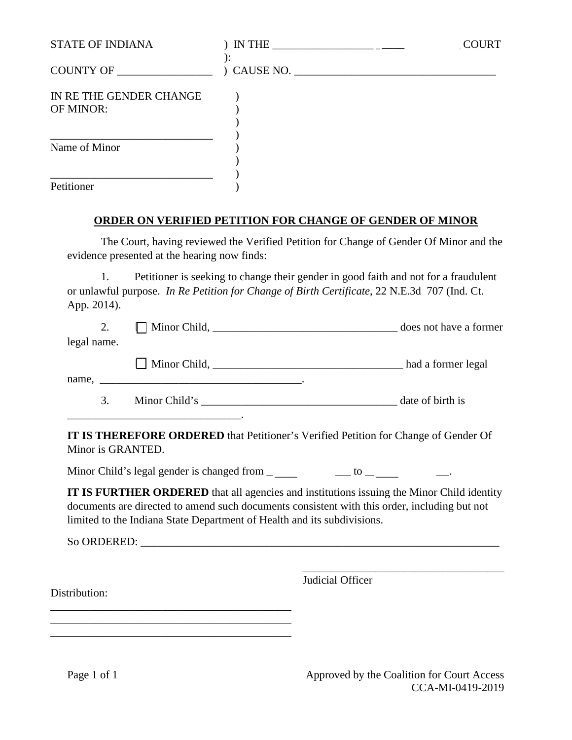| <b>STATE OF INDIANA</b>              |                            | <b>COURT</b> |
|--------------------------------------|----------------------------|--------------|
| COUNTY OF                            | $\sum_{i=1}^{n}$ CAUSE NO. |              |
| IN RE THE GENDER CHANGE<br>OF MINOR: |                            |              |
| Name of Minor                        |                            |              |
| Petitioner                           |                            |              |

# **ORDER ON VERIFIED PETITION FOR CHANGE OF GENDER OF MINOR**

 The Court, having reviewed the Verified Petition for Change of Gender Of Minor and the evidence presented at the hearing now finds:

 1. Petitioner is seeking to change their gender in good faith and not for a fraudulent or unlawful purpose. *In Re Petition for Change of Birth Certificate*, 22 N.E.3d 707 (Ind. Ct. App. 2014).

|             |                                                                                                                      | does not have a former |
|-------------|----------------------------------------------------------------------------------------------------------------------|------------------------|
| legal name. |                                                                                                                      |                        |
| name.       | <u> 1980 - Jan Stein Stein Stein Stein Stein Stein Stein Stein Stein Stein Stein Stein Stein Stein Stein Stein S</u> | had a former legal     |
| 3.          | Minor Child's                                                                                                        | date of birth is       |

**IT IS THEREFORE ORDERED** that Petitioner's Verified Petition for Change of Gender Of Minor is GRANTED.

Minor Child's legal gender is changed from  $\frac{1}{\sqrt{2}}$  and  $\frac{1}{\sqrt{2}}$  and  $\frac{1}{\sqrt{2}}$  and  $\frac{1}{\sqrt{2}}$  and  $\frac{1}{\sqrt{2}}$  and  $\frac{1}{\sqrt{2}}$  and  $\frac{1}{\sqrt{2}}$  and  $\frac{1}{\sqrt{2}}$  and  $\frac{1}{\sqrt{2}}$  and  $\frac{1}{\sqrt{2}}$  and  $\frac{1}{\sqrt$ 

**IT IS FURTHER ORDERED** that all agencies and institutions issuing the Minor Child identity documents are directed to amend such documents consistent with this order, including but not limited to the Indiana State Department of Health and its subdivisions.

So ORDERED:

\_\_\_\_\_\_\_\_\_\_\_\_\_\_\_\_\_\_\_\_\_\_\_\_\_\_\_\_\_\_\_\_\_\_\_\_\_\_\_\_\_\_\_ \_\_\_\_\_\_\_\_\_\_\_\_\_\_\_\_\_\_\_\_\_\_\_\_\_\_\_\_\_\_\_\_\_\_\_\_\_\_\_\_\_\_\_ \_\_\_\_\_\_\_\_\_\_\_\_\_\_\_\_\_\_\_\_\_\_\_\_\_\_\_\_\_\_\_\_\_\_\_\_\_\_\_\_\_\_\_

 $\overline{\phantom{a}}$  , which is a set of the set of the set of the set of the set of the set of the set of the set of the set of the set of the set of the set of the set of the set of the set of the set of the set of the set of th Judicial Officer

Distribution: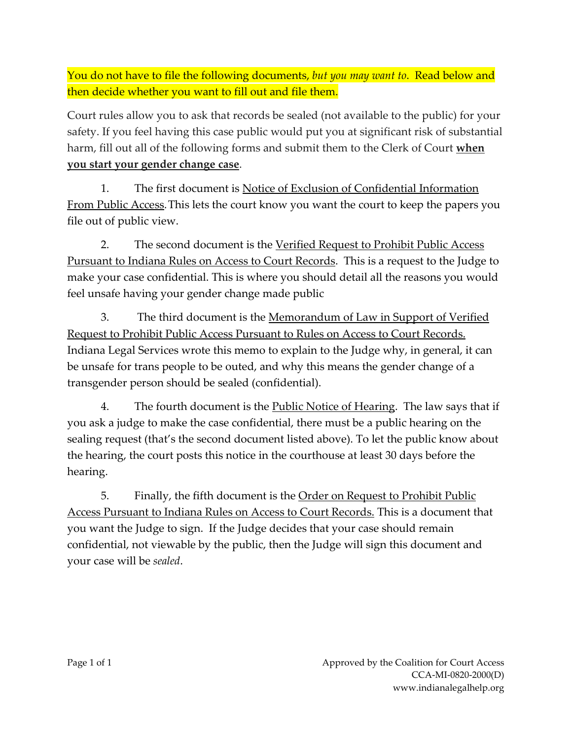You do not have to file the following documents, *but you may want to*. Read below and then decide whether you want to fill out and file them.

Court rules allow you to ask that records be sealed (not available to the public) for your safety. If you feel having this case public would put you at significant risk of substantial harm, fill out all of the following forms and submit them to the Clerk of Court **when you start your gender change case**.

1. The first document is Notice of Exclusion of Confidential Information From Public Access. This lets the court know you want the court to keep the papers you file out of public view.

2. The second document is the Verified Request to Prohibit Public Access Pursuant to Indiana Rules on Access to Court Records. This is a request to the Judge to make your case confidential. This is where you should detail all the reasons you would feel unsafe having your gender change made public

3. The third document is the <u>Memorandum of Law in Support of Verified</u> Request to Prohibit Public Access Pursuant to Rules on Access to Court Records. Indiana Legal Services wrote this memo to explain to the Judge why, in general, it can be unsafe for trans people to be outed, and why this means the gender change of a transgender person should be sealed (confidential).

 4. The fourth document is the Public Notice of Hearing. The law says that if you ask a judge to make the case confidential, there must be a public hearing on the sealing request (that's the second document listed above). To let the public know about the hearing, the court posts this notice in the courthouse at least 30 days before the hearing.

5. Finally, the fifth document is the Order on Request to Prohibit Public Access Pursuant to Indiana Rules on Access to Court Records. This is a document that you want the Judge to sign. If the Judge decides that your case should remain confidential, not viewable by the public, then the Judge will sign this document and your case will be *sealed*.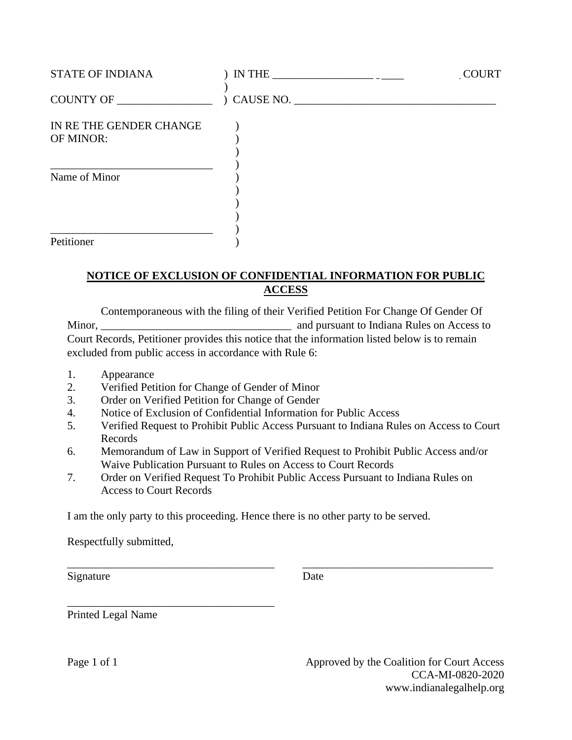| <b>STATE OF INDIANA</b>              | $IN THE _______$           | <b>COURT</b> |
|--------------------------------------|----------------------------|--------------|
| COUNTY OF                            | $\sum_{i=1}^{n}$ CAUSE NO. |              |
| IN RE THE GENDER CHANGE<br>OF MINOR: |                            |              |
| Name of Minor                        |                            |              |
| Petitioner                           |                            |              |

# **NOTICE OF EXCLUSION OF CONFIDENTIAL INFORMATION FOR PUBLIC ACCESS**

Contemporaneous with the filing of their Verified Petition For Change Of Gender Of Minor, **Minor** and pursuant to Indiana Rules on Access to  $\alpha$ Court Records, Petitioner provides this notice that the information listed below is to remain excluded from public access in accordance with Rule 6:

- 1. Appearance
- 2. Verified Petition for Change of Gender of Minor
- 3. Order on Verified Petition for Change of Gender

\_\_\_\_\_\_\_\_\_\_\_\_\_\_\_\_\_\_\_\_\_\_\_\_\_\_\_\_\_\_\_\_\_\_\_\_\_

- 4. Notice of Exclusion of Confidential Information for Public Access
- 5. Verified Request to Prohibit Public Access Pursuant to Indiana Rules on Access to Court Records
- 6. Memorandum of Law in Support of Verified Request to Prohibit Public Access and/or Waive Publication Pursuant to Rules on Access to Court Records

\_\_\_\_\_\_\_\_\_\_\_\_\_\_\_\_\_\_\_\_\_\_\_\_\_\_\_\_\_\_\_\_\_\_\_\_\_ \_\_\_\_\_\_\_\_\_\_\_\_\_\_\_\_\_\_\_\_\_\_\_\_\_\_\_\_\_\_\_\_\_\_

7. Order on Verified Request To Prohibit Public Access Pursuant to Indiana Rules on Access to Court Records

I am the only party to this proceeding. Hence there is no other party to be served.

Respectfully submitted,

Signature Date

Printed Legal Name

Page 1 of 1 Approved by the Coalition for Court Access CCA-MI-0820-2020 www.indianalegalhelp.org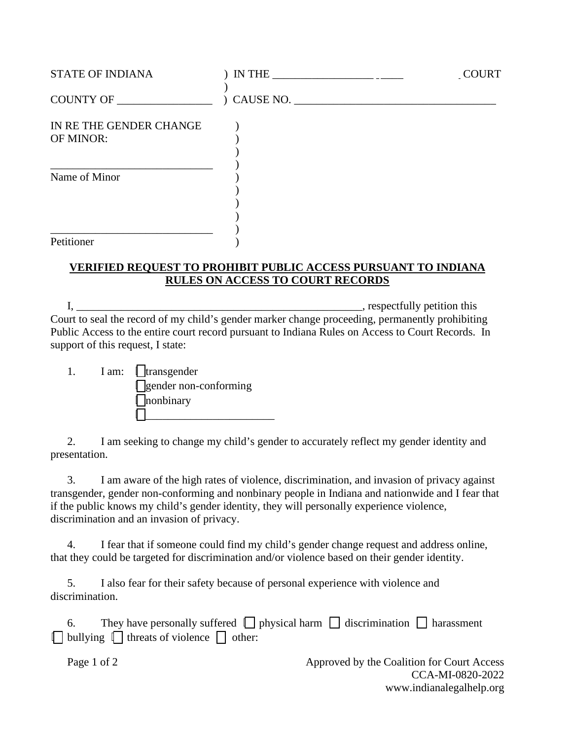| <b>STATE OF INDIANA</b>              | $IN THE _______$ | COURT |
|--------------------------------------|------------------|-------|
| COUNTY OF                            | ) CAUSE NO.      |       |
| IN RE THE GENDER CHANGE<br>OF MINOR: |                  |       |
| Name of Minor                        |                  |       |
| Petitioner                           |                  |       |

#### **VERIFIED REQUEST TO PROHIBIT PUBLIC ACCESS PURSUANT TO INDIANA RULES ON ACCESS TO COURT RECORDS**

 I, \_\_\_\_\_\_\_\_\_\_\_\_\_\_\_\_\_\_\_\_\_\_\_\_\_\_\_\_\_\_\_\_\_\_\_\_\_\_\_\_\_\_\_\_\_\_\_\_\_\_\_, respectfully petition this Court to seal the record of my child's gender marker change proceeding, permanently prohibiting Public Access to the entire court record pursuant to Indiana Rules on Access to Court Records. In support of this request, I state:

|  | I am:   transgender          |
|--|------------------------------|
|  | $\Box$ gender non-conforming |
|  | $\ $ nonbinary               |
|  |                              |

 2. I am seeking to change my child's gender to accurately reflect my gender identity and presentation.

 3. I am aware of the high rates of violence, discrimination, and invasion of privacy against transgender, gender non-conforming and nonbinary people in Indiana and nationwide and I fear that if the public knows my child's gender identity, they will personally experience violence, discrimination and an invasion of privacy.

 4. I fear that if someone could find my child's gender change request and address online, that they could be targeted for discrimination and/or violence based on their gender identity.

 5. I also fear for their safety because of personal experience with violence and discrimination.

| They have personally suffered $\Box$ physical harm $\Box$ discrimination $\Box$ harassment |
|--------------------------------------------------------------------------------------------|
| $\Box$ bullying $\Box$ threats of violence $\Box$ other:                                   |

Page 1 of 2 Approved by the Coalition for Court Access CCA-MI-0820-2022 www.indianalegalhelp.org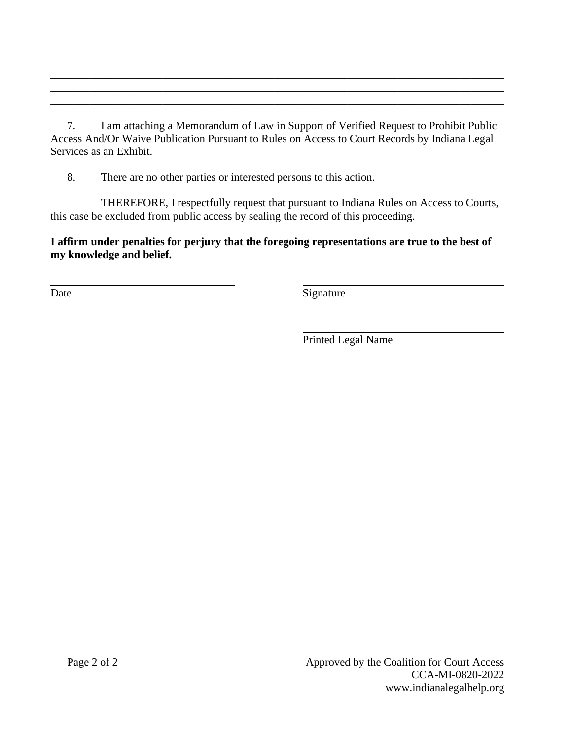7. I am attaching a Memorandum of Law in Support of Verified Request to Prohibit Public Access And/Or Waive Publication Pursuant to Rules on Access to Court Records by Indiana Legal Services as an Exhibit.

\_\_\_\_\_\_\_\_\_\_\_\_\_\_\_\_\_\_\_\_\_\_\_\_\_\_\_\_\_\_\_\_\_\_\_\_\_\_\_\_\_\_\_\_\_\_\_\_\_\_\_\_\_\_\_\_\_\_\_\_\_\_\_\_\_\_\_\_\_\_\_\_\_\_\_\_\_\_\_\_\_ \_\_\_\_\_\_\_\_\_\_\_\_\_\_\_\_\_\_\_\_\_\_\_\_\_\_\_\_\_\_\_\_\_\_\_\_\_\_\_\_\_\_\_\_\_\_\_\_\_\_\_\_\_\_\_\_\_\_\_\_\_\_\_\_\_\_\_\_\_\_\_\_\_\_\_\_\_\_\_\_\_ \_\_\_\_\_\_\_\_\_\_\_\_\_\_\_\_\_\_\_\_\_\_\_\_\_\_\_\_\_\_\_\_\_\_\_\_\_\_\_\_\_\_\_\_\_\_\_\_\_\_\_\_\_\_\_\_\_\_\_\_\_\_\_\_\_\_\_\_\_\_\_\_\_\_\_\_\_\_\_\_\_

8. There are no other parties or interested persons to this action.

THEREFORE, I respectfully request that pursuant to Indiana Rules on Access to Courts, this case be excluded from public access by sealing the record of this proceeding.

**I affirm under penalties for perjury that the foregoing representations are true to the best of my knowledge and belief.** 

 $\overline{a}$ 

Date Signature

Printed Legal Name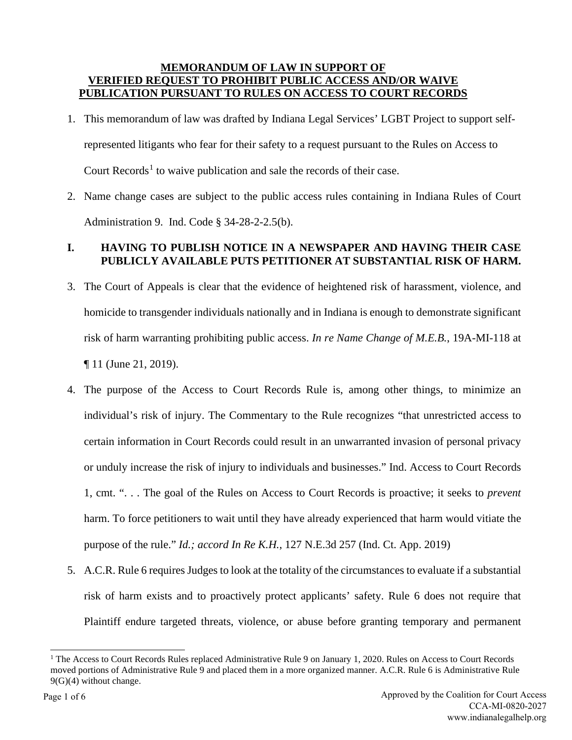#### **MEMORANDUM OF LAW IN SUPPORT OF VERIFIED REQUEST TO PROHIBIT PUBLIC ACCESS AND/OR WAIVE PUBLICATION PURSUANT TO RULES ON ACCESS TO COURT RECORDS**

- 1. This memorandum of law was drafted by Indiana Legal Services' LGBT Project to support selfrepresented litigants who fear for their safety to a request pursuant to the Rules on Access to Court Records<sup>[1](#page-11-0)</sup> to waive publication and sale the records of their case.
- 2. Name change cases are subject to the public access rules containing in Indiana Rules of Court Administration 9. Ind. Code § 34-28-2-2.5(b).

## **I. HAVING TO PUBLISH NOTICE IN A NEWSPAPER AND HAVING THEIR CASE PUBLICLY AVAILABLE PUTS PETITIONER AT SUBSTANTIAL RISK OF HARM.**

- 3. The Court of Appeals is clear that the evidence of heightened risk of harassment, violence, and homicide to transgender individuals nationally and in Indiana is enough to demonstrate significant risk of harm warranting prohibiting public access. *In re Name Change of M.E.B.*, 19A-MI-118 at ¶ 11 (June 21, 2019).
- 4. The purpose of the Access to Court Records Rule is, among other things, to minimize an individual's risk of injury. The Commentary to the Rule recognizes "that unrestricted access to certain information in Court Records could result in an unwarranted invasion of personal privacy or unduly increase the risk of injury to individuals and businesses." Ind. Access to Court Records 1, cmt. ". . . The goal of the Rules on Access to Court Records is proactive; it seeks to *prevent* harm. To force petitioners to wait until they have already experienced that harm would vitiate the purpose of the rule." *Id.; accord In Re K.H.*, 127 N.E.3d 257 (Ind. Ct. App. 2019)
- 5. A.C.R. Rule 6 requires Judges to look at the totality of the circumstances to evaluate if a substantial risk of harm exists and to proactively protect applicants' safety. Rule 6 does not require that Plaintiff endure targeted threats, violence, or abuse before granting temporary and permanent

<span id="page-11-0"></span><sup>&</sup>lt;sup>1</sup> The Access to Court Records Rules replaced Administrative Rule 9 on January 1, 2020. Rules on Access to Court Records moved portions of Administrative Rule 9 and placed them in a more organized manner. A.C.R. Rule 6 is Administrative Rule 9(G)(4) without change.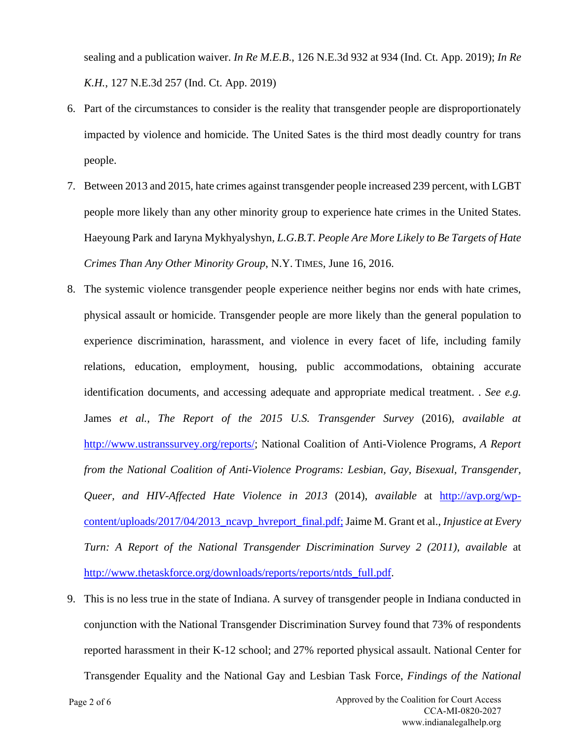sealing and a publication waiver. *In Re M.E.B*., 126 N.E.3d 932 at 934 (Ind. Ct. App. 2019); *In Re K.H.*, 127 N.E.3d 257 (Ind. Ct. App. 2019)

- 6. Part of the circumstances to consider is the reality that transgender people are disproportionately impacted by violence and homicide. The United Sates is the third most deadly country for trans people.
- 7. Between 2013 and 2015, hate crimes against transgender people increased 239 percent, with LGBT people more likely than any other minority group to experience hate crimes in the United States. Haeyoung Park and Iaryna Mykhyalyshyn*, L.G.B.T. People Are More Likely to Be Targets of Hate Crimes Than Any Other Minority Group*, N.Y. TIMES, June 16, 2016.
- 8. The systemic violence transgender people experience neither begins nor ends with hate crimes, physical assault or homicide. Transgender people are more likely than the general population to experience discrimination, harassment, and violence in every facet of life, including family relations, education, employment, housing, public accommodations, obtaining accurate identification documents, and accessing adequate and appropriate medical treatment. . *See e.g.* James *et al.*, *The Report of the 2015 U.S. Transgender Survey* (2016), *available at* http://www.ustranssurvey.org/reports/; National Coalition of Anti-Violence Programs, *A Report from the National Coalition of Anti-Violence Programs: Lesbian, Gay, Bisexual, Transgender, Queer, and HIV-Affected Hate Violence in 2013* (2014), *available* at http://avp.org/wpcontent/uploads/2017/04/2013\_ncavp\_hvreport\_final.pdf; Jaime M. Grant et al., *Injustice at Every Turn: A Report of the National Transgender Discrimination Survey 2 (2011), available* at http://www.thetaskforce.org/downloads/reports/reports/ntds\_full.pdf.
- 9. This is no less true in the state of Indiana. A survey of transgender people in Indiana conducted in conjunction with the National Transgender Discrimination Survey found that 73% of respondents reported harassment in their K-12 school; and 27% reported physical assault. National Center for Transgender Equality and the National Gay and Lesbian Task Force, *Findings of the National*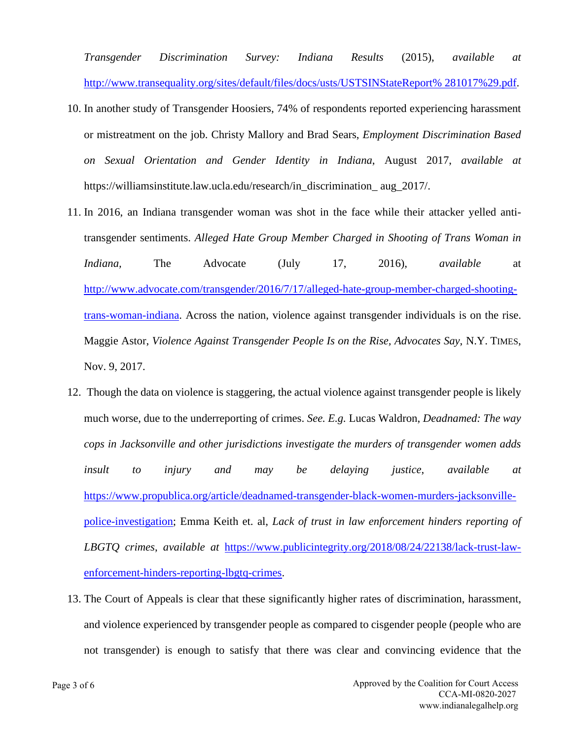*Transgender Discrimination Survey: Indiana Results* (2015), *available at*  http://www.transequality.org/sites/default/files/docs/usts/USTSINStateReport% 281017%29.pdf.

- 10. In another study of Transgender Hoosiers, 74% of respondents reported experiencing harassment or mistreatment on the job. Christy Mallory and Brad Sears, *Employment Discrimination Based on Sexual Orientation and Gender Identity in Indiana*, August 2017, *available at* https://williamsinstitute.law.ucla.edu/research/in\_discrimination\_ aug\_2017/.
- 11. In 2016, an Indiana transgender woman was shot in the face while their attacker yelled antitransgender sentiments. *Alleged Hate Group Member Charged in Shooting of Trans Woman in Indiana,* The Advocate (July 17, 2016), *available* at http://www.advocate.com/transgender/2016/7/17/alleged-hate-group-member-charged-shootingtrans-woman-indiana. Across the nation, violence against transgender individuals is on the rise. Maggie Astor, *Violence Against Transgender People Is on the Rise, Advocates Say*, N.Y. TIMES, Nov. 9, 2017.
- 12. Though the data on violence is staggering, the actual violence against transgender people is likely much worse, due to the underreporting of crimes. *See. E.g.* Lucas Waldron, *Deadnamed: The way cops in Jacksonville and other jurisdictions investigate the murders of transgender women adds insult to injury and may be delaying justice*, *available at* https://www.propublica.org/article/deadnamed-transgender-black-women-murders-jacksonvillepolice-investigation; Emma Keith et. al, *Lack of trust in law enforcement hinders reporting of LBGTQ crimes*, *available at* https://www.publicintegrity.org/2018/08/24/22138/lack-trust-lawenforcement-hinders-reporting-lbgtq-crimes.
- 13. The Court of Appeals is clear that these significantly higher rates of discrimination, harassment, and violence experienced by transgender people as compared to cisgender people (people who are not transgender) is enough to satisfy that there was clear and convincing evidence that the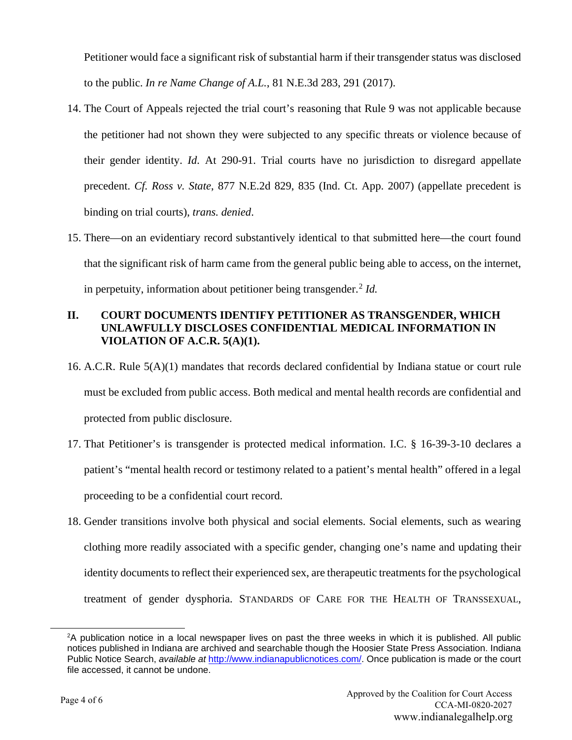Petitioner would face a significant risk of substantial harm if their transgender status was disclosed to the public. *In re Name Change of A.L.*, 81 N.E.3d 283, 291 (2017).

- 14. The Court of Appeals rejected the trial court's reasoning that Rule 9 was not applicable because the petitioner had not shown they were subjected to any specific threats or violence because of their gender identity. *Id.* At 290-91. Trial courts have no jurisdiction to disregard appellate precedent. *Cf. Ross v. State*, 877 N.E.2d 829, 835 (Ind. Ct. App. 2007) (appellate precedent is binding on trial courts), *trans. denied*.
- 15. There—on an evidentiary record substantively identical to that submitted here—the court found that the significant risk of harm came from the general public being able to access, on the internet, in perpetuity, information about petitioner being transgender.<sup>[2](#page-14-0)</sup> *Id.*

## **II. COURT DOCUMENTS IDENTIFY PETITIONER AS TRANSGENDER, WHICH UNLAWFULLY DISCLOSES CONFIDENTIAL MEDICAL INFORMATION IN VIOLATION OF A.C.R. 5(A)(1).**

- 16. A.C.R. Rule 5(A)(1) mandates that records declared confidential by Indiana statue or court rule must be excluded from public access. Both medical and mental health records are confidential and protected from public disclosure.
- 17. That Petitioner's is transgender is protected medical information. I.C. § 16-39-3-10 declares a patient's "mental health record or testimony related to a patient's mental health" offered in a legal proceeding to be a confidential court record.
- 18. Gender transitions involve both physical and social elements. Social elements, such as wearing clothing more readily associated with a specific gender, changing one's name and updating their identity documents to reflect their experienced sex, are therapeutic treatments for the psychological treatment of gender dysphoria. STANDARDS OF CARE FOR THE HEALTH OF TRANSSEXUAL,

<span id="page-14-0"></span><sup>2</sup> A publication notice in a local newspaper lives on past the three weeks in which it is published. All public notices published in Indiana are archived and searchable though the Hoosier State Press Association. Indiana Public Notice Search, *available at* [http://www.indianapublicnotices.com/.](http://www.indianapublicnotices.com/) Once publication is made or the court file accessed, it cannot be undone.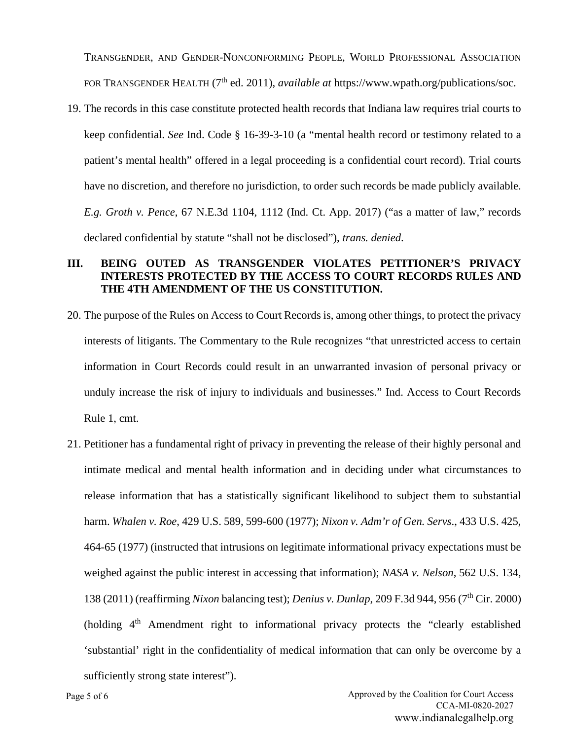TRANSGENDER, AND GENDER-NONCONFORMING PEOPLE, WORLD PROFESSIONAL ASSOCIATION FOR TRANSGENDER HEALTH (7<sup>th</sup> ed. 2011), *available at* https://www.wpath.org/publications/soc.

19. The records in this case constitute protected health records that Indiana law requires trial courts to keep confidential. *See* Ind. Code § 16-39-3-10 (a "mental health record or testimony related to a patient's mental health" offered in a legal proceeding is a confidential court record). Trial courts have no discretion, and therefore no jurisdiction, to order such records be made publicly available. *E.g. Groth v. Pence*, 67 N.E.3d 1104, 1112 (Ind. Ct. App. 2017) ("as a matter of law," records declared confidential by statute "shall not be disclosed"), *trans. denied*.

#### **III. BEING OUTED AS TRANSGENDER VIOLATES PETITIONER'S PRIVACY INTERESTS PROTECTED BY THE ACCESS TO COURT RECORDS RULES AND THE 4TH AMENDMENT OF THE US CONSTITUTION.**

- 20. The purpose of the Rules on Access to Court Records is, among other things, to protect the privacy interests of litigants. The Commentary to the Rule recognizes "that unrestricted access to certain information in Court Records could result in an unwarranted invasion of personal privacy or unduly increase the risk of injury to individuals and businesses." Ind. Access to Court Records Rule 1, cmt.
- 21. Petitioner has a fundamental right of privacy in preventing the release of their highly personal and intimate medical and mental health information and in deciding under what circumstances to release information that has a statistically significant likelihood to subject them to substantial harm. *Whalen v. Roe*, 429 U.S. 589, 599-600 (1977); *Nixon v. Adm'r of Gen. Servs*., 433 U.S. 425, 464-65 (1977) (instructed that intrusions on legitimate informational privacy expectations must be weighed against the public interest in accessing that information); *NASA v. Nelson*, 562 U.S. 134, 138 (2011) (reaffirming *Nixon* balancing test); *Denius v. Dunlap*, 209 F.3d 944, 956 (7th Cir. 2000) (holding 4<sup>th</sup> Amendment right to informational privacy protects the "clearly established 'substantial' right in the confidentiality of medical information that can only be overcome by a sufficiently strong state interest").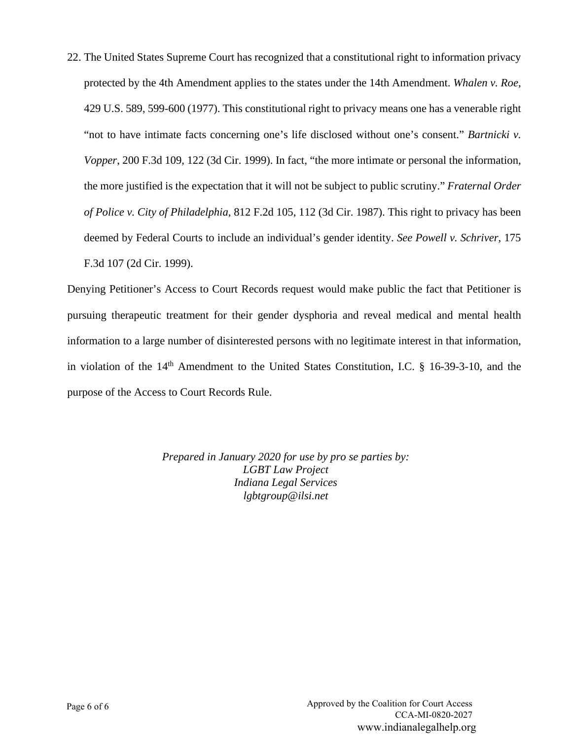22. The United States Supreme Court has recognized that a constitutional right to information privacy protected by the 4th Amendment applies to the states under the 14th Amendment. *Whalen v. Roe,* 429 U.S. 589, 599-600 (1977). This constitutional right to privacy means one has a venerable right "not to have intimate facts concerning one's life disclosed without one's consent." *Bartnicki v. Vopper*, 200 F.3d 109, 122 (3d Cir. 1999). In fact, "the more intimate or personal the information, the more justified is the expectation that it will not be subject to public scrutiny." *Fraternal Order of Police v. City of Philadelphia,* 812 F.2d 105, 112 (3d Cir. 1987). This right to privacy has been deemed by Federal Courts to include an individual's gender identity. *See Powell v. Schriver*, 175 F.3d 107 (2d Cir. 1999).

Denying Petitioner's Access to Court Records request would make public the fact that Petitioner is pursuing therapeutic treatment for their gender dysphoria and reveal medical and mental health information to a large number of disinterested persons with no legitimate interest in that information, in violation of the  $14<sup>th</sup>$  Amendment to the United States Constitution, I.C. § 16-39-3-10, and the purpose of the Access to Court Records Rule.

> *Prepared in January 2020 for use by pro se parties by: LGBT Law Project Indiana Legal Services lgbtgroup@ilsi.net*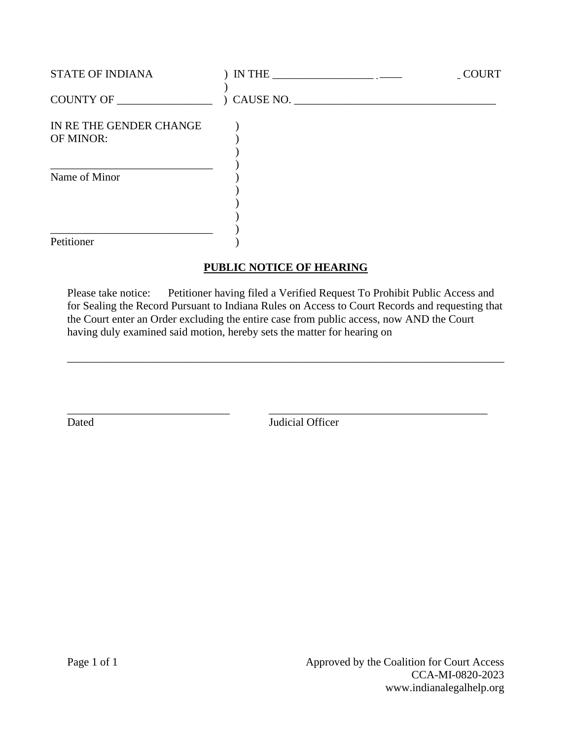| <b>STATE OF INDIANA</b>              | $IN THE _______$ | _COURT |
|--------------------------------------|------------------|--------|
| COUNTY OF                            | ) CAUSE NO.      |        |
| IN RE THE GENDER CHANGE<br>OF MINOR: |                  |        |
| Name of Minor                        |                  |        |
| Petitioner                           |                  |        |

## **PUBLIC NOTICE OF HEARING**

Please take notice: Petitioner having filed a Verified Request To Prohibit Public Access and for Sealing the Record Pursuant to Indiana Rules on Access to Court Records and requesting that the Court enter an Order excluding the entire case from public access, now AND the Court having duly examined said motion, hereby sets the matter for hearing on

\_\_\_\_\_\_\_\_\_\_\_\_\_\_\_\_\_\_\_\_\_\_\_\_\_\_\_\_\_\_\_\_\_\_\_\_\_\_\_\_\_\_\_\_\_\_\_\_\_\_\_\_\_\_\_\_\_\_\_\_\_\_\_\_\_\_\_\_\_\_\_\_\_\_\_\_\_\_

\_\_\_\_\_\_\_\_\_\_\_\_\_\_\_\_\_\_\_\_\_\_\_\_\_\_\_\_\_ \_\_\_\_\_\_\_\_\_\_\_\_\_\_\_\_\_\_\_\_\_\_\_\_\_\_\_\_\_\_\_\_\_\_\_\_\_\_\_ Dated Judicial Officer